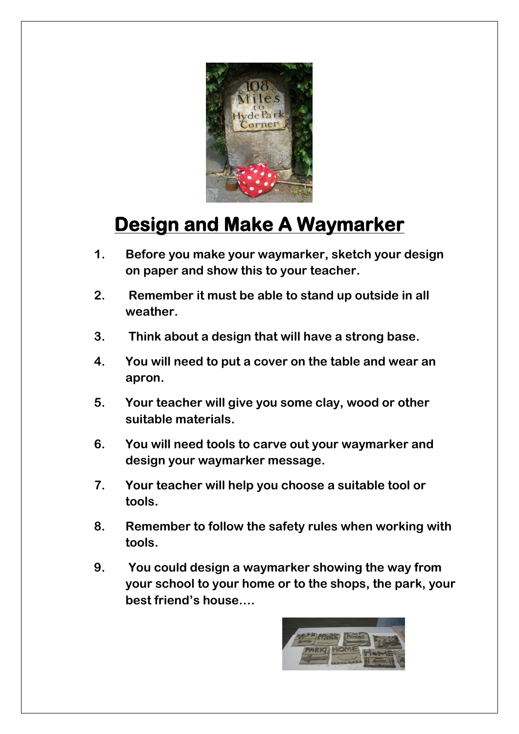

## **Design and Make A Waymarker**

- **1. Before you make your waymarker, sketch your design on paper and show this to your teacher.**
- **2. Remember it must be able to stand up outside in all weather.**
- **3. Think about a design that will have a strong base.**
- **4. You will need to put a cover on the table and wear an apron.**
- **5. Your teacher will give you some clay, wood or other suitable materials.**
- **6. You will need tools to carve out your waymarker and design your waymarker message.**
- **7. Your teacher will help you choose a suitable tool or tools.**
- **8. Remember to follow the safety rules when working with tools.**
- **9. You could design a waymarker showing the way from your school to your home or to the shops, the park, your best friend's house….**

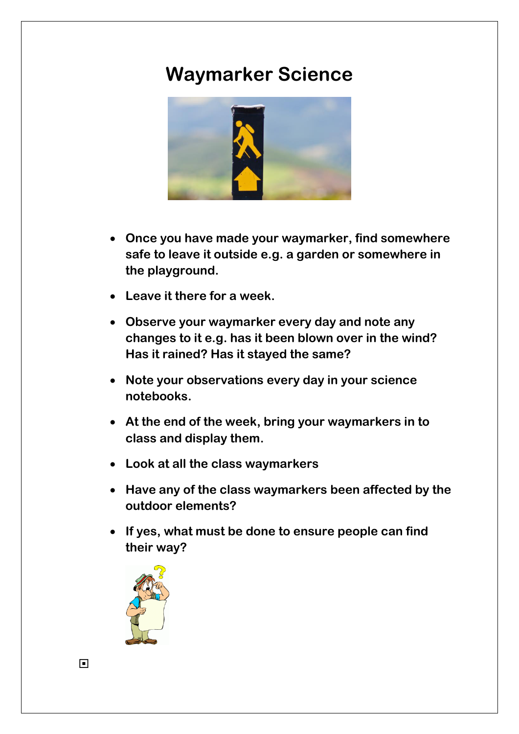## **Waymarker Science**



- **Once you have made your waymarker, find somewhere safe to leave it outside e.g. a garden or somewhere in the playground.**
- **Leave it there for a week.**
- **Observe your waymarker every day and note any changes to it e.g. has it been blown over in the wind? Has it rained? Has it stayed the same?**
- **Note your observations every day in your science notebooks.**
- **At the end of the week, bring your waymarkers in to class and display them.**
- **Look at all the class waymarkers**
- **Have any of the class waymarkers been affected by the outdoor elements?**
- **If yes, what must be done to ensure people can find their way?**



 $\Box$